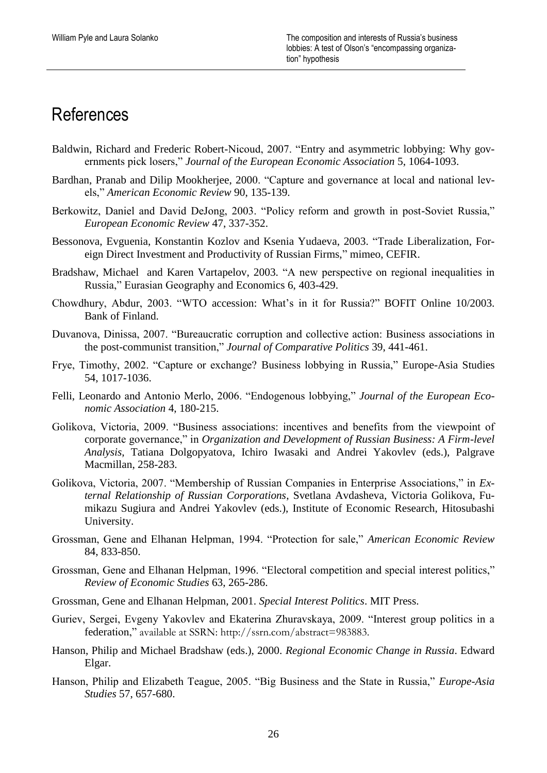# References

- Baldwin, Richard and Frederic Robert-Nicoud, 2007. "Entry and asymmetric lobbying: Why governments pick losers," *Journal of the European Economic Association* 5, 1064-1093.
- Bardhan, Pranab and Dilip Mookherjee, 2000. "Capture and governance at local and national levels," *American Economic Review* 90, 135-139.
- Berkowitz, Daniel and David DeJong, 2003. "Policy reform and growth in post-Soviet Russia," *European Economic Review* 47, 337-352.
- Bessonova, Evguenia, Konstantin Kozlov and Ksenia Yudaeva, 2003. "Trade Liberalization, Foreign Direct Investment and Productivity of Russian Firms," mimeo, CEFIR.
- Bradshaw, Michael and Karen Vartapelov, 2003. "A new perspective on regional inequalities in Russia," Eurasian Geography and Economics 6, 403-429.
- Chowdhury, Abdur, 2003. "WTO accession: What's in it for Russia?" BOFIT Online 10/2003. Bank of Finland.
- Duvanova, Dinissa, 2007. "Bureaucratic corruption and collective action: Business associations in the post-communist transition," *Journal of Comparative Politics* 39, 441-461.
- Frye, Timothy, 2002. "Capture or exchange? Business lobbying in Russia," Europe-Asia Studies 54, 1017-1036.
- Felli, Leonardo and Antonio Merlo, 2006. "Endogenous lobbying," *Journal of the European Economic Association* 4, 180-215.
- Golikova, Victoria, 2009. "Business associations: incentives and benefits from the viewpoint of corporate governance," in *Organization and Development of Russian Business: A Firm-level Analysis*, Tatiana Dolgopyatova, Ichiro Iwasaki and Andrei Yakovlev (eds.), Palgrave Macmillan, 258-283.
- Golikova, Victoria, 2007. "Membership of Russian Companies in Enterprise Associations," in *External Relationship of Russian Corporations*, Svetlana Avdasheva, Victoria Golikova, Fumikazu Sugiura and Andrei Yakovlev (eds.), Institute of Economic Research, Hitosubashi University.
- Grossman, Gene and Elhanan Helpman, 1994. "Protection for sale," *American Economic Review* 84, 833-850.
- Grossman, Gene and Elhanan Helpman, 1996. "Electoral competition and special interest politics," *Review of Economic Studies* 63, 265-286.
- Grossman, Gene and Elhanan Helpman, 2001. *Special Interest Politics*. MIT Press.
- Guriev, Sergei, Evgeny Yakovlev and Ekaterina Zhuravskaya, 2009. "Interest group politics in a federation," available at SSRN: http://ssrn.com/abstract=983883.
- Hanson, Philip and Michael Bradshaw (eds.), 2000. *Regional Economic Change in Russia*. Edward Elgar.
- Hanson, Philip and Elizabeth Teague, 2005. "Big Business and the State in Russia," *Europe-Asia Studies* 57, 657-680.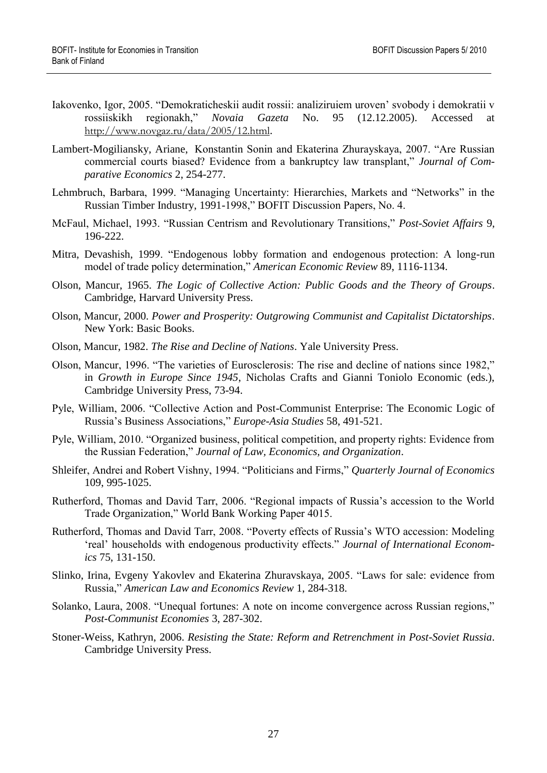- Iakovenko, Igor, 2005. "Demokraticheskii audit rossii: analiziruiem uroven" svobody i demokratii v rossiiskikh regionakh," *Novaia Gazeta* No. 95 (12.12.2005). Accessed at <http://www.novgaz.ru/data/2005/12.html>.
- Lambert-Mogiliansky, Ariane, Konstantin Sonin and Ekaterina Zhurayskaya, 2007. "Are Russian commercial courts biased? Evidence from a bankruptcy law transplant," *Journal of Comparative Economics* 2, 254-277.
- Lehmbruch, Barbara, 1999. "Managing Uncertainty: Hierarchies, Markets and "Networks" in the Russian Timber Industry, 1991-1998," BOFIT Discussion Papers, No. 4.
- McFaul, Michael, 1993. "Russian Centrism and Revolutionary Transitions," *Post-Soviet Affairs* 9, 196-222.
- Mitra, Devashish, 1999. "Endogenous lobby formation and endogenous protection: A long-run model of trade policy determination," *American Economic Review* 89, 1116-1134.
- Olson, Mancur, 1965. *The Logic of Collective Action: Public Goods and the Theory of Groups*. Cambridge, Harvard University Press.
- Olson, Mancur, 2000. *Power and Prosperity: Outgrowing Communist and Capitalist Dictatorships*. New York: Basic Books.
- Olson, Mancur, 1982. *The Rise and Decline of Nations*. Yale University Press.
- Olson, Mancur, 1996. "The varieties of Eurosclerosis: The rise and decline of nations since 1982," in *Growth in Europe Since 1945*, Nicholas Crafts and Gianni Toniolo Economic (eds.), Cambridge University Press, 73-94.
- Pyle, William, 2006. "Collective Action and Post-Communist Enterprise: The Economic Logic of Russia"s Business Associations," *Europe-Asia Studies* 58, 491-521.
- Pyle, William, 2010. "Organized business, political competition, and property rights: Evidence from the Russian Federation," *Journal of Law, Economics, and Organization*.
- Shleifer, Andrei and Robert Vishny, 1994. "Politicians and Firms," *Quarterly Journal of Economics* 109, 995-1025.
- Rutherford, Thomas and David Tarr, 2006. "Regional impacts of Russia"s accession to the World Trade Organization," World Bank Working Paper 4015.
- Rutherford, Thomas and David Tarr, 2008. "Poverty effects of Russia"s WTO accession: Modeling "real" households with endogenous productivity effects." *Journal of International Economics* 75, 131-150.
- Slinko, Irina, Evgeny Yakovlev and Ekaterina Zhuravskaya, 2005. "Laws for sale: evidence from Russia," *American Law and Economics Review* 1, 284-318.
- Solanko, Laura, 2008. "Unequal fortunes: A note on income convergence across Russian regions," *Post-Communist Economies* 3, 287-302.
- Stoner-Weiss, Kathryn, 2006. *Resisting the State: Reform and Retrenchment in Post-Soviet Russia*. Cambridge University Press.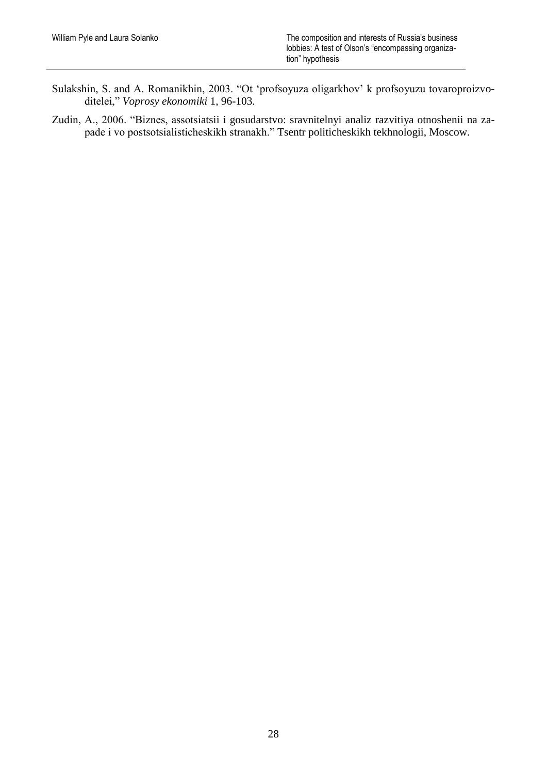- Sulakshin, S. and A. Romanikhin, 2003. "Ot "profsoyuza oligarkhov" k profsoyuzu tovaroproizvoditelei," *Voprosy ekonomiki* 1, 96-103.
- Zudin, A., 2006. "Biznes, assotsiatsii i gosudarstvo: sravnitelnyi analiz razvitiya otnoshenii na zapade i vo postsotsialisticheskikh stranakh." Tsentr politicheskikh tekhnologii, Moscow.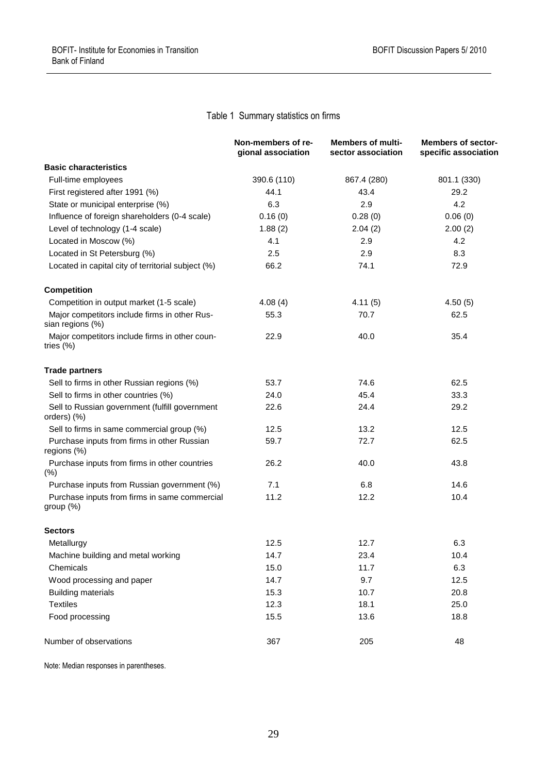# Table 1 Summary statistics on firms

|                                                                   | Non-members of re-<br>gional association | <b>Members of multi-</b><br>sector association | <b>Members of sector-</b><br>specific association |
|-------------------------------------------------------------------|------------------------------------------|------------------------------------------------|---------------------------------------------------|
| <b>Basic characteristics</b>                                      |                                          |                                                |                                                   |
| Full-time employees                                               | 390.6 (110)                              | 867.4 (280)                                    | 801.1 (330)                                       |
| First registered after 1991 (%)                                   | 44.1                                     | 43.4                                           | 29.2                                              |
| State or municipal enterprise (%)                                 | 6.3                                      | 2.9                                            | 4.2                                               |
| Influence of foreign shareholders (0-4 scale)                     | 0.16(0)                                  | 0.28(0)                                        | 0.06(0)                                           |
| Level of technology (1-4 scale)                                   | 1.88(2)                                  | 2.04(2)                                        | 2.00(2)                                           |
| Located in Moscow (%)                                             | 4.1                                      | 2.9                                            | 4.2                                               |
| Located in St Petersburg (%)                                      | 2.5                                      | 2.9                                            | 8.3                                               |
| Located in capital city of territorial subject (%)                | 66.2                                     | 74.1                                           | 72.9                                              |
| <b>Competition</b>                                                |                                          |                                                |                                                   |
| Competition in output market (1-5 scale)                          | 4.08(4)                                  | 4.11(5)                                        | 4.50(5)                                           |
| Major competitors include firms in other Rus-<br>sian regions (%) | 55.3                                     | 70.7                                           | 62.5                                              |
| Major competitors include firms in other coun-<br>tries $(\%)$    | 22.9                                     | 40.0                                           | 35.4                                              |
| <b>Trade partners</b>                                             |                                          |                                                |                                                   |
| Sell to firms in other Russian regions (%)                        | 53.7                                     | 74.6                                           | 62.5                                              |
| Sell to firms in other countries (%)                              | 24.0                                     | 45.4                                           | 33.3                                              |
| Sell to Russian government (fulfill government<br>orders) (%)     | 22.6                                     | 24.4                                           | 29.2                                              |
| Sell to firms in same commercial group (%)                        | 12.5                                     | 13.2                                           | 12.5                                              |
| Purchase inputs from firms in other Russian<br>regions (%)        | 59.7                                     | 72.7                                           | 62.5                                              |
| Purchase inputs from firms in other countries<br>$(\%)$           | 26.2                                     | 40.0                                           | 43.8                                              |
| Purchase inputs from Russian government (%)                       | 7.1                                      | 6.8                                            | 14.6                                              |
| Purchase inputs from firms in same commercial<br>group (%)        | 11.2                                     | 12.2                                           | 10.4                                              |
| Sectors                                                           |                                          |                                                |                                                   |
| Metallurgy                                                        | 12.5                                     | 12.7                                           | 6.3                                               |
| Machine building and metal working                                | 14.7                                     | 23.4                                           | 10.4                                              |
| Chemicals                                                         | 15.0                                     | 11.7                                           | 6.3                                               |
| Wood processing and paper                                         | 14.7                                     | 9.7                                            | 12.5                                              |
| <b>Building materials</b>                                         | 15.3                                     | 10.7                                           | 20.8                                              |
| <b>Textiles</b>                                                   | 12.3                                     | 18.1                                           | 25.0                                              |
| Food processing                                                   | 15.5                                     | 13.6                                           | 18.8                                              |
| Number of observations                                            | 367                                      | 205                                            | 48                                                |

Note: Median responses in parentheses.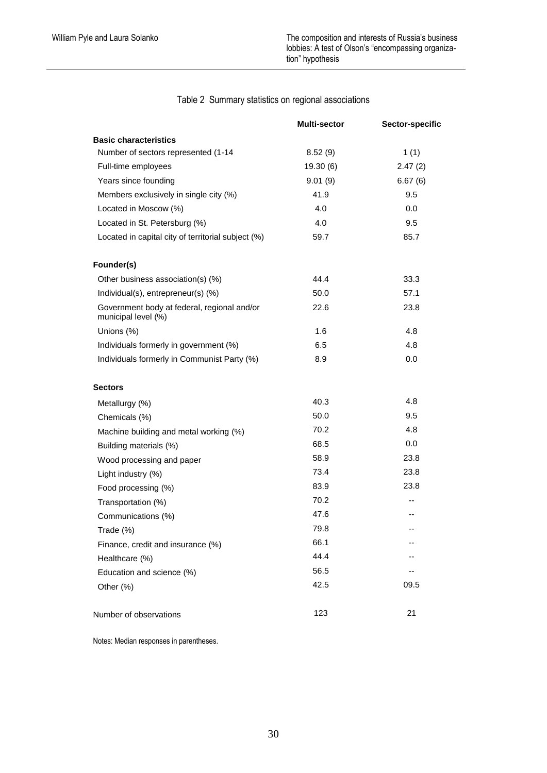|                                                                    | Multi-sector | Sector-specific |
|--------------------------------------------------------------------|--------------|-----------------|
| <b>Basic characteristics</b>                                       |              |                 |
| Number of sectors represented (1-14                                | 8.52(9)      | 1(1)            |
| Full-time employees                                                | 19.30 (6)    | 2.47(2)         |
| Years since founding                                               | 9.01(9)      | 6.67(6)         |
| Members exclusively in single city (%)                             | 41.9         | 9.5             |
| Located in Moscow (%)                                              | 4.0          | 0.0             |
| Located in St. Petersburg (%)                                      | 4.0          | 9.5             |
| Located in capital city of territorial subject (%)                 | 59.7         | 85.7            |
| Founder(s)                                                         |              |                 |
| Other business association(s) (%)                                  | 44.4         | 33.3            |
| Individual(s), entrepreneur(s) (%)                                 | 50.0         | 57.1            |
| Government body at federal, regional and/or<br>municipal level (%) | 22.6         | 23.8            |
| Unions (%)                                                         | 1.6          | 4.8             |
| Individuals formerly in government (%)                             | 6.5          | 4.8             |
| Individuals formerly in Communist Party (%)                        | 8.9          | 0.0             |
| <b>Sectors</b>                                                     |              |                 |
| Metallurgy (%)                                                     | 40.3         | 4.8             |
| Chemicals (%)                                                      | 50.0         | 9.5             |
| Machine building and metal working (%)                             | 70.2         | 4.8             |
| Building materials (%)                                             | 68.5         | 0.0             |
| Wood processing and paper                                          | 58.9         | 23.8            |
| Light industry (%)                                                 | 73.4         | 23.8            |
| Food processing (%)                                                | 83.9         | 23.8            |
| Transportation (%)                                                 | 70.2         |                 |
| Communications (%)                                                 | 47.6         |                 |
| Trade (%)                                                          | 79.8         |                 |
| Finance, credit and insurance (%)                                  | 66.1         |                 |
| Healthcare (%)                                                     | 44.4         |                 |
| Education and science (%)                                          | 56.5         |                 |
| Other (%)                                                          | 42.5         | 09.5            |
| Number of observations                                             | 123          | 21              |

Table 2 Summary statistics on regional associations

Notes: Median responses in parentheses.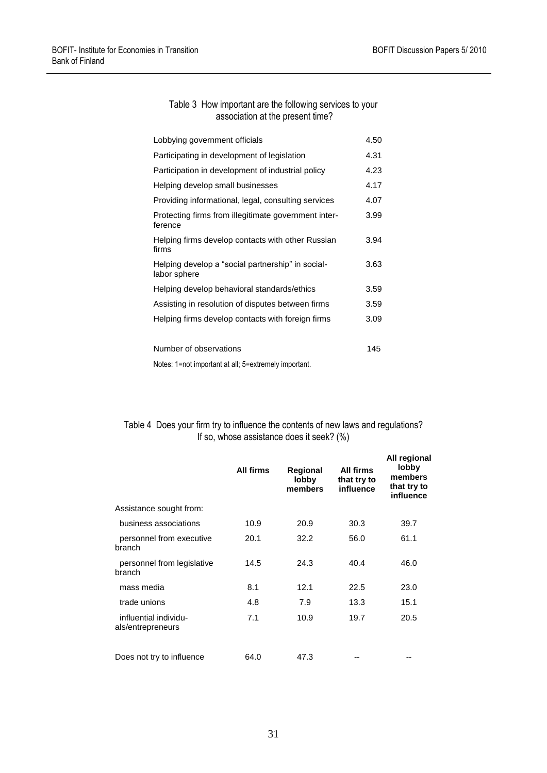#### Table 3 How important are the following services to your association at the present time?

| Lobbying government officials                                     | 4.50 |
|-------------------------------------------------------------------|------|
| Participating in development of legislation                       | 4.31 |
| Participation in development of industrial policy                 | 4.23 |
| Helping develop small businesses                                  | 4.17 |
| Providing informational, legal, consulting services               | 4.07 |
| Protecting firms from illegitimate government inter-<br>ference   | 3.99 |
| Helping firms develop contacts with other Russian<br>firms        | 3.94 |
| Helping develop a "social partnership" in social-<br>labor sphere | 3.63 |
| Helping develop behavioral standards/ethics                       | 3.59 |
| Assisting in resolution of disputes between firms                 | 3.59 |
| Helping firms develop contacts with foreign firms                 | 3.09 |
| Number of observations                                            | 145  |

Notes: 1=not important at all; 5=extremely important.

#### Table 4 Does your firm try to influence the contents of new laws and regulations? If so, whose assistance does it seek? (%)

|                                            | <b>All firms</b> | Regional<br>lobby<br>members | All firms<br>that try to<br>influence | All regional<br>lobby<br>members<br>that try to<br>influence |
|--------------------------------------------|------------------|------------------------------|---------------------------------------|--------------------------------------------------------------|
| Assistance sought from:                    |                  |                              |                                       |                                                              |
| business associations                      | 10.9             | 20.9                         | 30.3                                  | 39.7                                                         |
| personnel from executive<br>branch         | 20.1             | 32.2                         | 56.0                                  | 61.1                                                         |
| personnel from legislative<br>branch       | 14.5             | 24.3                         | 40.4                                  | 46.0                                                         |
| mass media                                 | 8.1              | 12.1                         | 22.5                                  | 23.0                                                         |
| trade unions                               | 4.8              | 7.9                          | 13.3                                  | 15.1                                                         |
| influential individu-<br>als/entrepreneurs | 7.1              | 10.9                         | 19.7                                  | 20.5                                                         |
| Does not try to influence                  | 64.0             | 47.3                         |                                       |                                                              |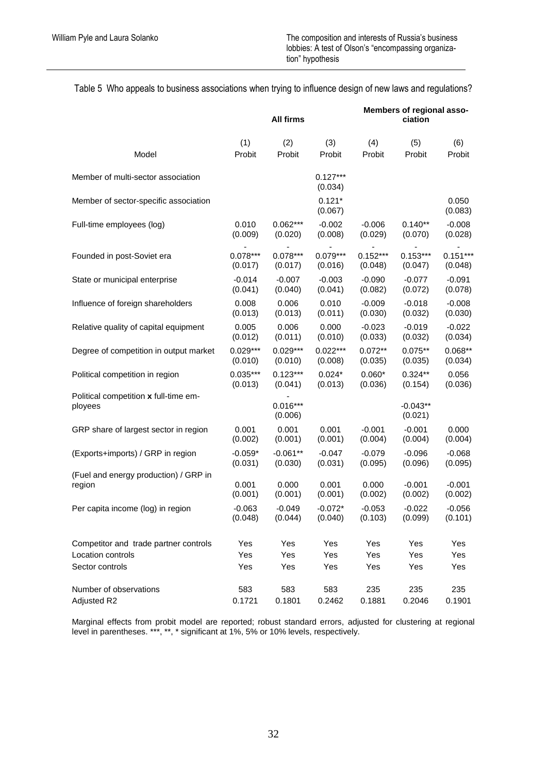# Table 5 Who appeals to business associations when trying to influence design of new laws and regulations?

|                                                  | All firms  |                       |                       | Members of regional asso-<br>ciation |                       |                  |
|--------------------------------------------------|------------|-----------------------|-----------------------|--------------------------------------|-----------------------|------------------|
| Model                                            | (1)        | (2)                   | (3)                   | (4)                                  | (5)                   | (6)              |
|                                                  | Probit     | Probit                | Probit                | Probit                               | Probit                | Probit           |
| Member of multi-sector association               |            |                       | $0.127***$<br>(0.034) |                                      |                       |                  |
| Member of sector-specific association            |            |                       | $0.121*$<br>(0.067)   |                                      |                       | 0.050<br>(0.083) |
| Full-time employees (log)                        | 0.010      | $0.062***$            | $-0.002$              | $-0.006$                             | $0.140**$             | $-0.008$         |
|                                                  | (0.009)    | (0.020)               | (0.008)               | (0.029)                              | (0.070)               | (0.028)          |
| Founded in post-Soviet era                       | $0.078***$ | $0.078***$            | $0.079***$            | $0.152***$                           | $0.153***$            | $0.151***$       |
|                                                  | (0.017)    | (0.017)               | (0.016)               | (0.048)                              | (0.047)               | (0.048)          |
| State or municipal enterprise                    | $-0.014$   | $-0.007$              | $-0.003$              | $-0.090$                             | $-0.077$              | $-0.091$         |
|                                                  | (0.041)    | (0.040)               | (0.041)               | (0.082)                              | (0.072)               | (0.078)          |
| Influence of foreign shareholders                | 0.008      | 0.006                 | 0.010                 | $-0.009$                             | $-0.018$              | $-0.008$         |
|                                                  | (0.013)    | (0.013)               | (0.011)               | (0.030)                              | (0.032)               | (0.030)          |
| Relative quality of capital equipment            | 0.005      | 0.006                 | 0.000                 | $-0.023$                             | $-0.019$              | $-0.022$         |
|                                                  | (0.012)    | (0.011)               | (0.010)               | (0.033)                              | (0.032)               | (0.034)          |
| Degree of competition in output market           | $0.029***$ | $0.029***$            | $0.022***$            | $0.072**$                            | $0.075**$             | $0.068**$        |
|                                                  | (0.010)    | (0.010)               | (0.008)               | (0.035)                              | (0.035)               | (0.034)          |
| Political competition in region                  | $0.035***$ | $0.123***$            | $0.024*$              | $0.060*$                             | $0.324**$             | 0.056            |
|                                                  | (0.013)    | (0.041)               | (0.013)               | (0.036)                              | (0.154)               | (0.036)          |
| Political competition x full-time em-<br>ployees |            | $0.016***$<br>(0.006) |                       |                                      | $-0.043**$<br>(0.021) |                  |
| GRP share of largest sector in region            | 0.001      | 0.001                 | 0.001                 | $-0.001$                             | $-0.001$              | 0.000            |
|                                                  | (0.002)    | (0.001)               | (0.001)               | (0.004)                              | (0.004)               | (0.004)          |
| (Exports+imports) / GRP in region                | $-0.059*$  | $-0.061**$            | $-0.047$              | $-0.079$                             | $-0.096$              | $-0.068$         |
|                                                  | (0.031)    | (0.030)               | (0.031)               | (0.095)                              | (0.096)               | (0.095)          |
| (Fuel and energy production) / GRP in            | 0.001      | 0.000                 | 0.001                 | 0.000                                | $-0.001$              | $-0.001$         |
| region                                           | (0.001)    | (0.001)               | (0.001)               | (0.002)                              | (0.002)               | (0.002)          |
| Per capita income (log) in region                | $-0.063$   | $-0.049$              | $-0.072*$             | $-0.053$                             | $-0.022$              | $-0.056$         |
|                                                  | (0.048)    | (0.044)               | (0.040)               | (0.103)                              | (0.099)               | (0.101)          |
| Competitor and trade partner controls            | Yes        | Yes                   | Yes                   | Yes                                  | Yes                   | Yes              |
| Location controls                                | Yes        | Yes                   | Yes                   | Yes                                  | Yes                   | Yes              |
| Sector controls                                  | Yes        | Yes                   | Yes                   | Yes                                  | Yes                   | Yes              |
| Number of observations                           | 583        | 583                   | 583                   | 235                                  | 235                   | 235              |
| Adjusted R2                                      | 0.1721     | 0.1801                | 0.2462                | 0.1881                               | 0.2046                | 0.1901           |

Marginal effects from probit model are reported; robust standard errors, adjusted for clustering at regional level in parentheses. \*\*\*, \*\*, \* significant at 1%, 5% or 10% levels, respectively.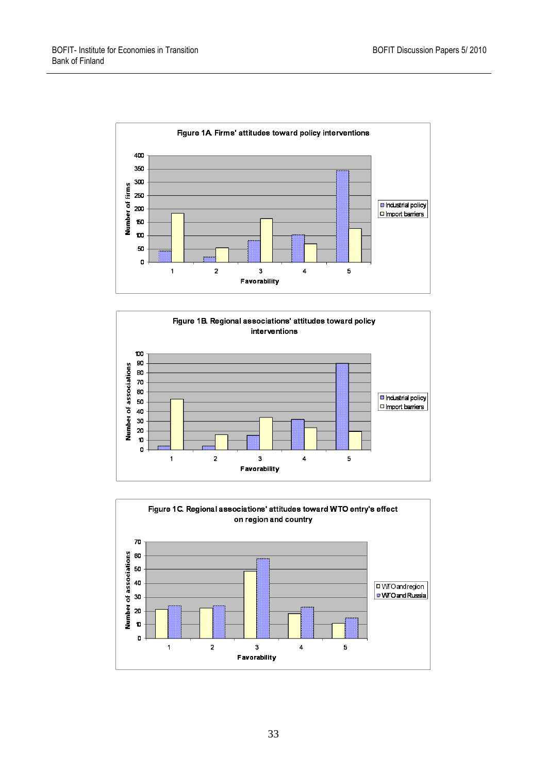



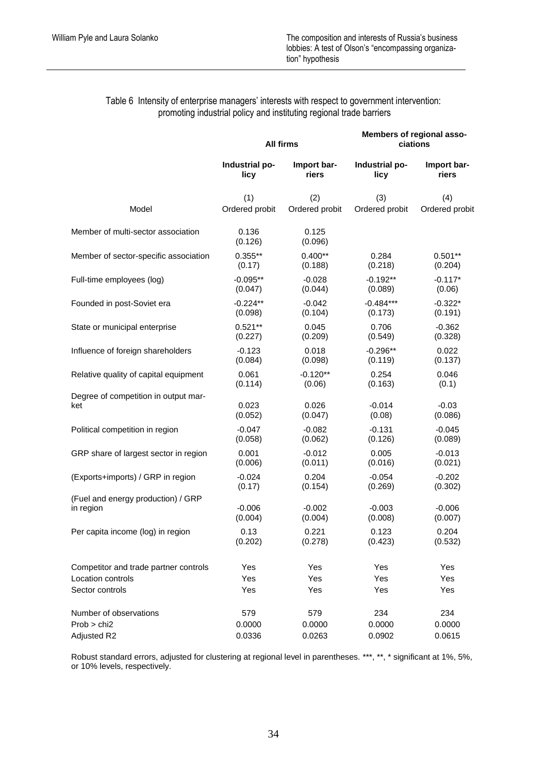## Table 6 Intensity of enterprise managers' interests with respect to government intervention: promoting industrial policy and instituting regional trade barriers

|                                       |                  | <b>All firms</b> | Members of regional asso-<br>ciations |                |  |
|---------------------------------------|------------------|------------------|---------------------------------------|----------------|--|
|                                       | Industrial po-   | Import bar-      | Industrial po-                        | Import bar-    |  |
|                                       | licy             | riers            | licy                                  | riers          |  |
| Model                                 | (1)              | (2)              | (3)                                   | (4)            |  |
|                                       | Ordered probit   | Ordered probit   | Ordered probit                        | Ordered probit |  |
| Member of multi-sector association    | 0.136<br>(0.126) | 0.125<br>(0.096) |                                       |                |  |
| Member of sector-specific association | $0.355**$        | $0.400**$        | 0.284                                 | $0.501**$      |  |
|                                       | (0.17)           | (0.188)          | (0.218)                               | (0.204)        |  |
| Full-time employees (log)             | $-0.095**$       | $-0.028$         | $-0.192**$                            | $-0.117*$      |  |
|                                       | (0.047)          | (0.044)          | (0.089)                               | (0.06)         |  |
| Founded in post-Soviet era            | $-0.224**$       | $-0.042$         | $-0.484***$                           | $-0.322*$      |  |
|                                       | (0.098)          | (0.104)          | (0.173)                               | (0.191)        |  |
| State or municipal enterprise         | $0.521**$        | 0.045            | 0.706                                 | $-0.362$       |  |
|                                       | (0.227)          | (0.209)          | (0.549)                               | (0.328)        |  |
| Influence of foreign shareholders     | $-0.123$         | 0.018            | $-0.296**$                            | 0.022          |  |
|                                       | (0.084)          | (0.098)          | (0.119)                               | (0.137)        |  |
| Relative quality of capital equipment | 0.061            | $-0.120**$       | 0.254                                 | 0.046          |  |
|                                       | (0.114)          | (0.06)           | (0.163)                               | (0.1)          |  |
| Degree of competition in output mar-  | 0.023            | 0.026            | $-0.014$                              | $-0.03$        |  |
| ket                                   | (0.052)          | (0.047)          | (0.08)                                | (0.086)        |  |
| Political competition in region       | $-0.047$         | $-0.082$         | $-0.131$                              | $-0.045$       |  |
|                                       | (0.058)          | (0.062)          | (0.126)                               | (0.089)        |  |
| GRP share of largest sector in region | 0.001            | $-0.012$         | 0.005                                 | $-0.013$       |  |
|                                       | (0.006)          | (0.011)          | (0.016)                               | (0.021)        |  |
| (Exports+imports) / GRP in region     | $-0.024$         | 0.204            | $-0.054$                              | $-0.202$       |  |
|                                       | (0.17)           | (0.154)          | (0.269)                               | (0.302)        |  |
| (Fuel and energy production) / GRP    | $-0.006$         | $-0.002$         | $-0.003$                              | $-0.006$       |  |
| in region                             | (0.004)          | (0.004)          | (0.008)                               | (0.007)        |  |
| Per capita income (log) in region     | 0.13             | 0.221            | 0.123                                 | 0.204          |  |
|                                       | (0.202)          | (0.278)          | (0.423)                               | (0.532)        |  |
| Competitor and trade partner controls | Yes              | Yes              | Yes                                   | Yes            |  |
| Location controls                     | Yes              | Yes              | Yes                                   | Yes            |  |
| Sector controls                       | Yes              | Yes              | Yes                                   | Yes            |  |
| Number of observations                | 579              | 579              | 234                                   | 234            |  |
| Prob > chi2                           | 0.0000           | 0.0000           | 0.0000                                | 0.0000         |  |
| Adjusted R2                           | 0.0336           | 0.0263           | 0.0902                                | 0.0615         |  |

Robust standard errors, adjusted for clustering at regional level in parentheses. \*\*\*, \*\*, \* significant at 1%, 5%, or 10% levels, respectively.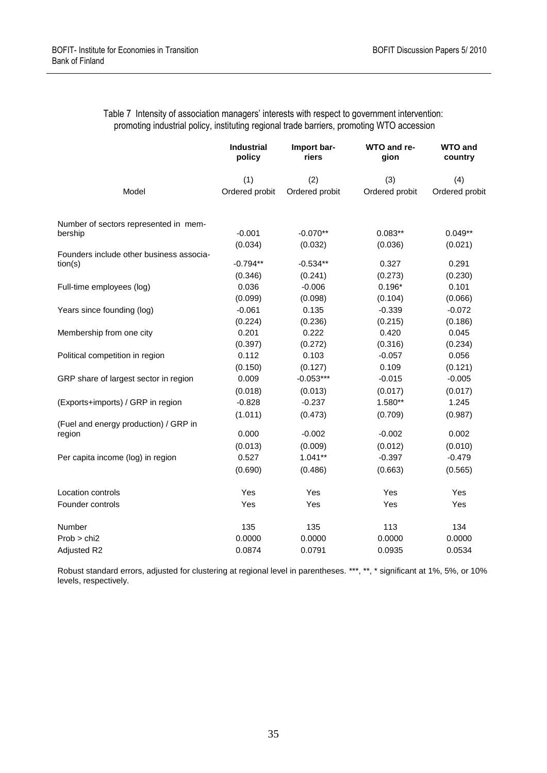|                                          | <b>Industrial</b><br>policy | Import bar-<br>riers | WTO and re-<br>qion | <b>WTO and</b><br>country |
|------------------------------------------|-----------------------------|----------------------|---------------------|---------------------------|
|                                          | (1)                         | (2)                  | (3)                 | (4)                       |
| Model                                    | Ordered probit              | Ordered probit       | Ordered probit      | Ordered probit            |
| Number of sectors represented in mem-    |                             |                      |                     |                           |
| bership                                  | $-0.001$                    | $-0.070**$           | $0.083**$           | $0.049**$                 |
| Founders include other business associa- | (0.034)                     | (0.032)              | (0.036)             | (0.021)                   |
| tion(s)                                  | $-0.794**$                  | $-0.534**$           | 0.327               | 0.291                     |
|                                          | (0.346)                     | (0.241)              | (0.273)             | (0.230)                   |
| Full-time employees (log)                | 0.036                       | $-0.006$             | $0.196*$            | 0.101                     |
|                                          | (0.099)                     | (0.098)              | (0.104)             | (0.066)                   |
| Years since founding (log)               | $-0.061$                    | 0.135                | $-0.339$            | $-0.072$                  |
|                                          | (0.224)                     | (0.236)              | (0.215)             | (0.186)                   |
| Membership from one city                 | 0.201                       | 0.222                | 0.420               | 0.045                     |
|                                          | (0.397)                     | (0.272)              | (0.316)             | (0.234)                   |
| Political competition in region          | 0.112                       | 0.103                | $-0.057$            | 0.056                     |
|                                          | (0.150)                     | (0.127)              | 0.109               | (0.121)                   |
| GRP share of largest sector in region    | 0.009                       | $-0.053***$          | $-0.015$            | $-0.005$                  |
|                                          | (0.018)                     | (0.013)              | (0.017)             | (0.017)                   |
| (Exports+imports) / GRP in region        | $-0.828$                    | $-0.237$             | $1.580**$           | 1.245                     |
|                                          | (1.011)                     | (0.473)              | (0.709)             | (0.987)                   |
| (Fuel and energy production) / GRP in    |                             |                      |                     |                           |
| region                                   | 0.000                       | $-0.002$             | $-0.002$            | 0.002                     |
|                                          | (0.013)                     | (0.009)              | (0.012)             | (0.010)                   |
| Per capita income (log) in region        | 0.527                       | $1.041**$            | $-0.397$            | $-0.479$                  |
|                                          | (0.690)                     | (0.486)              | (0.663)             | (0.565)                   |
| Location controls                        | Yes                         | Yes                  | Yes                 | Yes                       |
| Founder controls                         | Yes                         | Yes                  | Yes                 | Yes                       |
| Number                                   | 135                         | 135                  | 113                 | 134                       |
| Prob > chi2                              | 0.0000                      | 0.0000               | 0.0000              | 0.0000                    |
| Adjusted R2                              | 0.0874                      | 0.0791               | 0.0935              | 0.0534                    |

Table 7 Intensity of association managers' interests with respect to government intervention: promoting industrial policy, instituting regional trade barriers, promoting WTO accession

Robust standard errors, adjusted for clustering at regional level in parentheses. \*\*\*, \*\*, \* significant at 1%, 5%, or 10% levels, respectively.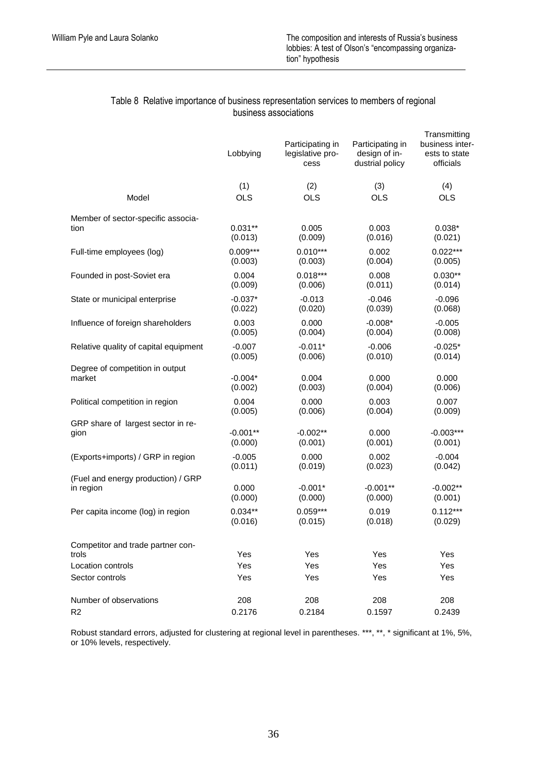### Table 8 Relative importance of business representation services to members of regional business associations

|                                            | Lobbying   | Participating in<br>legislative pro-<br>cess | Participating in<br>design of in-<br>dustrial policy | Transmitting<br>business inter-<br>ests to state<br>officials |
|--------------------------------------------|------------|----------------------------------------------|------------------------------------------------------|---------------------------------------------------------------|
| Model                                      | (1)        | (2)                                          | (3)                                                  | (4)                                                           |
|                                            | <b>OLS</b> | <b>OLS</b>                                   | <b>OLS</b>                                           | <b>OLS</b>                                                    |
| Member of sector-specific associa-         | $0.031**$  | 0.005                                        | 0.003                                                | $0.038*$                                                      |
| tion                                       | (0.013)    | (0.009)                                      | (0.016)                                              | (0.021)                                                       |
| Full-time employees (log)                  | $0.009***$ | $0.010***$                                   | 0.002                                                | $0.022***$                                                    |
|                                            | (0.003)    | (0.003)                                      | (0.004)                                              | (0.005)                                                       |
| Founded in post-Soviet era                 | 0.004      | $0.018***$                                   | 0.008                                                | $0.030**$                                                     |
|                                            | (0.009)    | (0.006)                                      | (0.011)                                              | (0.014)                                                       |
| State or municipal enterprise              | $-0.037*$  | $-0.013$                                     | $-0.046$                                             | $-0.096$                                                      |
|                                            | (0.022)    | (0.020)                                      | (0.039)                                              | (0.068)                                                       |
| Influence of foreign shareholders          | 0.003      | 0.000                                        | $-0.008*$                                            | $-0.005$                                                      |
|                                            | (0.005)    | (0.004)                                      | (0.004)                                              | (0.008)                                                       |
| Relative quality of capital equipment      | $-0.007$   | $-0.011*$                                    | $-0.006$                                             | $-0.025*$                                                     |
|                                            | (0.005)    | (0.006)                                      | (0.010)                                              | (0.014)                                                       |
| Degree of competition in output            | $-0.004*$  | 0.004                                        | 0.000                                                | 0.000                                                         |
| market                                     | (0.002)    | (0.003)                                      | (0.004)                                              | (0.006)                                                       |
| Political competition in region            | 0.004      | 0.000                                        | 0.003                                                | 0.007                                                         |
|                                            | (0.005)    | (0.006)                                      | (0.004)                                              | (0.009)                                                       |
| GRP share of largest sector in re-         | $-0.001**$ | $-0.002**$                                   | 0.000                                                | $-0.003***$                                                   |
| gion                                       | (0.000)    | (0.001)                                      | (0.001)                                              | (0.001)                                                       |
| (Exports+imports) / GRP in region          | $-0.005$   | 0.000                                        | 0.002                                                | $-0.004$                                                      |
|                                            | (0.011)    | (0.019)                                      | (0.023)                                              | (0.042)                                                       |
| (Fuel and energy production) / GRP         | 0.000      | $-0.001*$                                    | $-0.001**$                                           | $-0.002**$                                                    |
| in region                                  | (0.000)    | (0.000)                                      | (0.000)                                              | (0.001)                                                       |
| Per capita income (log) in region          | $0.034**$  | $0.059***$                                   | 0.019                                                | $0.112***$                                                    |
|                                            | (0.016)    | (0.015)                                      | (0.018)                                              | (0.029)                                                       |
| Competitor and trade partner con-<br>trols | Yes        | Yes                                          | Yes                                                  | Yes                                                           |
| Location controls                          | Yes        | Yes                                          | Yes                                                  | Yes                                                           |
| Sector controls                            | Yes        | Yes                                          | Yes                                                  | Yes                                                           |
| Number of observations                     | 208        | 208                                          | 208                                                  | 208                                                           |
| R <sub>2</sub>                             | 0.2176     | 0.2184                                       | 0.1597                                               | 0.2439                                                        |

Robust standard errors, adjusted for clustering at regional level in parentheses. \*\*\*, \*\*, \* significant at 1%, 5%, or 10% levels, respectively.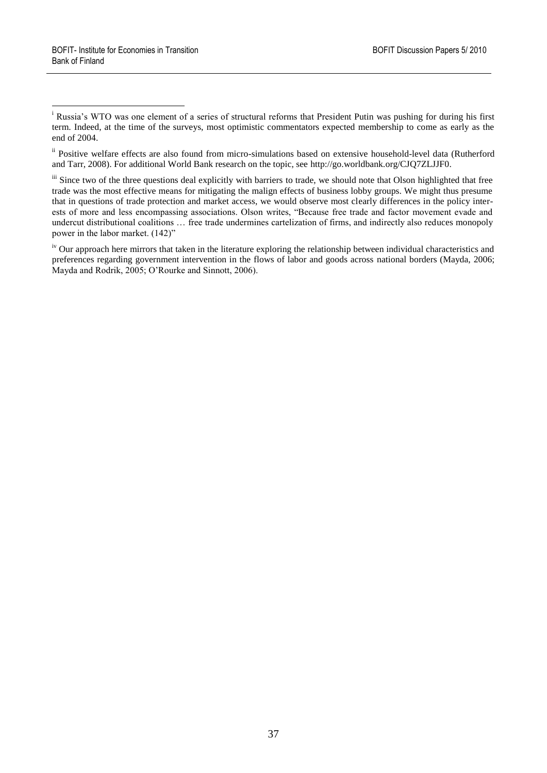1

ii Positive welfare effects are also found from micro-simulations based on extensive household-level data (Rutherford and Tarr, 2008). For additional World Bank research on the topic, see [http://go.worldbank.org/CJQ7ZLJJF0.](http://go.worldbank.org/CJQ7ZLJJF0)

iii Since two of the three questions deal explicitly with barriers to trade, we should note that Olson highlighted that free trade was the most effective means for mitigating the malign effects of business lobby groups. We might thus presume that in questions of trade protection and market access, we would observe most clearly differences in the policy interests of more and less encompassing associations. Olson writes, "Because free trade and factor movement evade and undercut distributional coalitions … free trade undermines cartelization of firms, and indirectly also reduces monopoly power in the labor market. (142)"

<sup>iv</sup> Our approach here mirrors that taken in the literature exploring the relationship between individual characteristics and preferences regarding government intervention in the flows of labor and goods across national borders (Mayda, 2006; Mayda and Rodrik, 2005; O"Rourke and Sinnott, 2006).

<sup>&</sup>lt;sup>i</sup> Russia's WTO was one element of a series of structural reforms that President Putin was pushing for during his first term. Indeed, at the time of the surveys, most optimistic commentators expected membership to come as early as the end of 2004.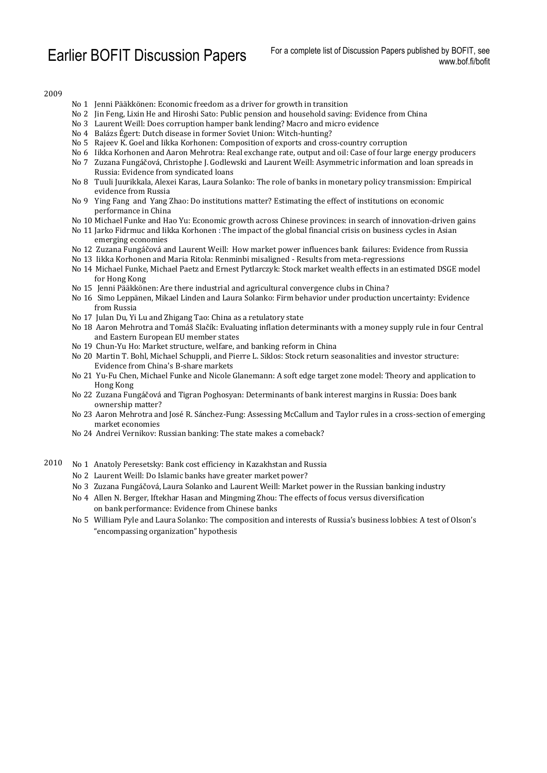2009

- No 1 Jenni Pääkkönen: Economic freedom as a driver for growth in transition
- No 2 Jin Feng, Lixin He and Hiroshi Sato: Public pension and household saving: Evidence from China
- No 3 Laurent Weill: Does corruption hamper bank lending? Macro and micro evidence
- No 4 Balázs Égert: Dutch disease in former Soviet Union: Witch-hunting?
- No 5 Rajeev K. Goel and Iikka Korhonen: Composition of exports and cross-country corruption
- No 6 Iikka Korhonen and Aaron Mehrotra: Real exchange rate, output and oil: Case of four large energy producers
- No 7 Zuzana Fungáčová, Christophe J. Godlewski and Laurent Weill: Asymmetric information and loan spreads in Russia: Evidence from syndicated loans
- No 8 Tuuli Juurikkala, Alexei Karas, Laura Solanko: The role of banks in monetary policy transmission: Empirical evidence from Russia
- No 9 Ying Fang and Yang Zhao: Do institutions matter? Estimating the effect of institutions on economic performance in China
- No 10 Michael Funke and Hao Yu: Economic growth across Chinese provinces: in search of innovation-driven gains
- No 11 Jarko Fidrmuc and Iikka Korhonen : The impact of the global financial crisis on business cycles in Asian emerging economies
- No 12 Zuzana Fungáčová and Laurent Weill: How market power influences bank failures: Evidence from Russia
- No 13 Iikka Korhonen and Maria Ritola: Renminbi misaligned Results from meta-regressions
- No 14 Michael Funke, Michael Paetz and Ernest Pytlarczyk: Stock market wealth effects in an estimated DSGE model for Hong Kong
- No 15 Jenni Pääkkönen: Are there industrial and agricultural convergence clubs in China?
- No 16 Simo Leppänen, Mikael Linden and Laura Solanko: Firm behavior under production uncertainty: Evidence from Russia
- No 17 Julan Du, Yi Lu and Zhigang Tao: China as a retulatory state
- No 18 Aaron Mehrotra and Tomáš Slačík: Evaluating inflation determinants with a money supply rule in four Central and Eastern European EU member states
- No 19 Chun-Yu Ho: Market structure, welfare, and banking reform in China
- No 20 Martin T. Bohl, Michael Schuppli, and Pierre L. Siklos: Stock return seasonalities and investor structure: Evidence from China's B-share markets
- No 21 Yu-Fu Chen, Michael Funke and Nicole Glanemann: A soft edge target zone model: Theory and application to Hong Kong
- No 22 Zuzana Fungáčová and Tigran Poghosyan: Determinants of bank interest margins in Russia: Does bank ownership matter?
- No 23 Aaron Mehrotra and José R. Sánchez-Fung: Assessing McCallum and Taylor rules in a cross-section of emerging market economies
- No 24 Andrei Vernikov: Russian banking: The state makes a comeback?
- 2010 No 1 Anatoly Peresetsky: Bank cost efficiency in Kazakhstan and Russia
	- No 2 Laurent Weill: Do Islamic banks have greater market power?
	- No 3 Zuzana Fungáčová, Laura Solanko and Laurent Weill: Market power in the Russian banking industry
	- No 4 Allen N. Berger, Iftekhar Hasan and Mingming Zhou: The effects of focus versus diversification on bank performance: Evidence from Chinese banks
	- No 5 William Pyle and Laura Solanko: The composition and interests of Russia's business lobbies: A test of Olson's "encompassing organization" hypothesis